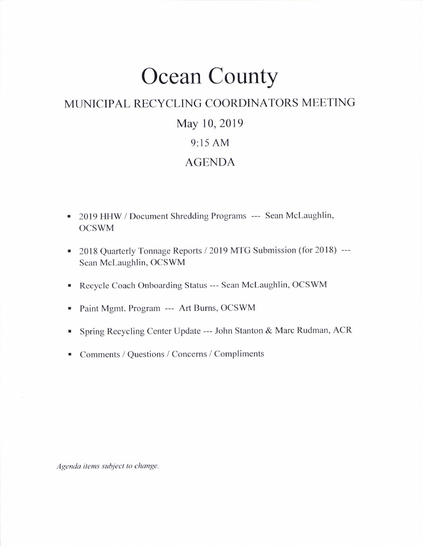# Ocean County

## MUNICIPAL RECYCLING COORDINATORS MEETING

### May 10,2019

### 9:15 AM

#### AGENDA

- . 2Ol9 HHW / Document Shredding Programs --- Sean Mclaughlin, OCSWM
- 2018 Quarterly Tonnage Reports / 2019 MTG Submission (for 2018) ---Sean Mclaughlin, OCSWM
- . Recycle Coach Onboarding Status --- Sean Mclaughlin, OCSWM
- . Paint Mgmt. Program --- Art Bums, OCSWM
- . Spring Recycling Center Update --- John Stanton & Marc Rudman, ACR
- Comments / Questions / Concerns / Compliments

Agenda items subject to change.